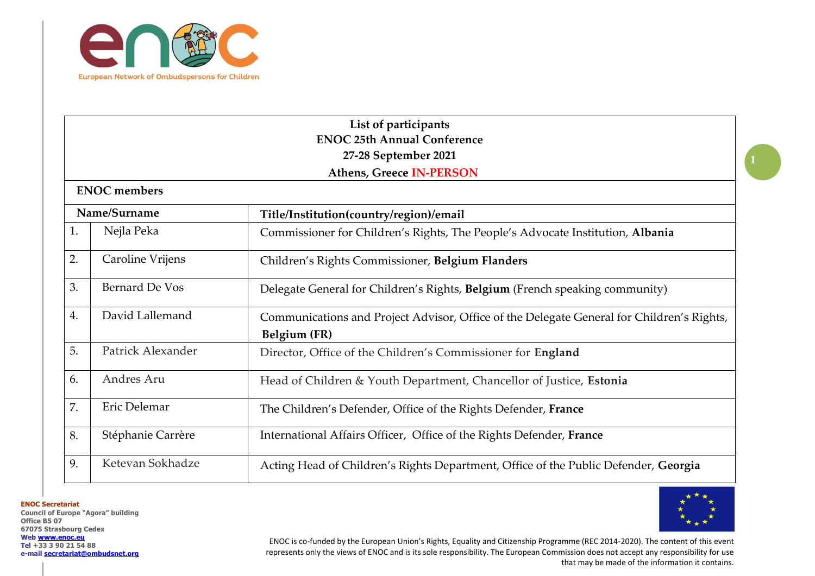

|    | List of participants               |                                                                                           |  |  |
|----|------------------------------------|-------------------------------------------------------------------------------------------|--|--|
|    | <b>ENOC 25th Annual Conference</b> |                                                                                           |  |  |
|    |                                    | 27-28 September 2021                                                                      |  |  |
|    |                                    | <b>Athens, Greece IN-PERSON</b>                                                           |  |  |
|    | <b>ENOC</b> members                |                                                                                           |  |  |
|    | Name/Surname                       | Title/Institution(country/region)/email                                                   |  |  |
| 1. | Nejla Peka                         | Commissioner for Children's Rights, The People's Advocate Institution, Albania            |  |  |
| 2. | Caroline Vrijens                   | Children's Rights Commissioner, Belgium Flanders                                          |  |  |
| 3. | Bernard De Vos                     | Delegate General for Children's Rights, Belgium (French speaking community)               |  |  |
| 4. | David Lallemand                    | Communications and Project Advisor, Office of the Delegate General for Children's Rights, |  |  |
|    |                                    | Belgium (FR)                                                                              |  |  |
| 5. | Patrick Alexander                  | Director, Office of the Children's Commissioner for England                               |  |  |
| 6. | Andres Aru                         | Head of Children & Youth Department, Chancellor of Justice, Estonia                       |  |  |
| 7. | Eric Delemar                       | The Children's Defender, Office of the Rights Defender, France                            |  |  |
| 8. | Stéphanie Carrère                  | International Affairs Officer, Office of the Rights Defender, France                      |  |  |
| 9. | Ketevan Sokhadze                   | Acting Head of Children's Rights Department, Office of the Public Defender, Georgia       |  |  |

**ENOC Secretariat Council of Europe "Agora" building Office B5 07 67075 Strasbourg Cedex Web [www.enoc.eu](http://www.enoc.eu/) Tel +33 3 90 21 54 88 e-mail [secretariat@ombudsnet.org](mailto:secretariat@ombudsnet.org)**



ENOC is co-funded by the European Union's Rights, Equality and Citizenship Programme (REC 2014-2020). The content of this event represents only the views of ENOC and is its sole responsibility. The European Commission does not accept any responsibility for use that may be made of the information it contains.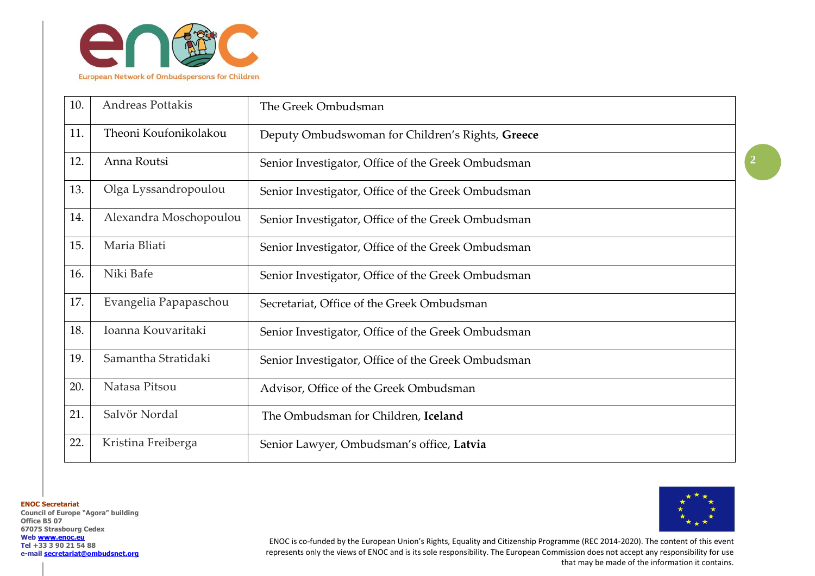

| 10. | <b>Andreas Pottakis</b> | The Greek Ombudsman                                |
|-----|-------------------------|----------------------------------------------------|
| 11. | Theoni Koufonikolakou   | Deputy Ombudswoman for Children's Rights, Greece   |
| 12. | Anna Routsi             | Senior Investigator, Office of the Greek Ombudsman |
| 13. | Olga Lyssandropoulou    | Senior Investigator, Office of the Greek Ombudsman |
| 14. | Alexandra Moschopoulou  | Senior Investigator, Office of the Greek Ombudsman |
| 15. | Maria Bliati            | Senior Investigator, Office of the Greek Ombudsman |
| 16. | Niki Bafe               | Senior Investigator, Office of the Greek Ombudsman |
| 17. | Evangelia Papapaschou   | Secretariat, Office of the Greek Ombudsman         |
| 18. | Ioanna Kouvaritaki      | Senior Investigator, Office of the Greek Ombudsman |
| 19. | Samantha Stratidaki     | Senior Investigator, Office of the Greek Ombudsman |
| 20. | Natasa Pitsou           | Advisor, Office of the Greek Ombudsman             |
| 21. | Salvör Nordal           | The Ombudsman for Children, Iceland                |
| 22. | Kristina Freiberga      | Senior Lawyer, Ombudsman's office, Latvia          |

**ENOC Secretariat Council of Europe "Agora" building Office B5 07 67075 Strasbourg Cedex Web [www.enoc.eu](http://www.enoc.eu/) Tel +33 3 90 21 54 88 e-mail [secretariat@ombudsnet.org](mailto:secretariat@ombudsnet.org)**



ENOC is co-funded by the European Union's Rights, Equality and Citizenship Programme (REC 2014-2020). The content of this event represents only the views of ENOC and is its sole responsibility. The European Commission does not accept any responsibility for use that may be made of the information it contains.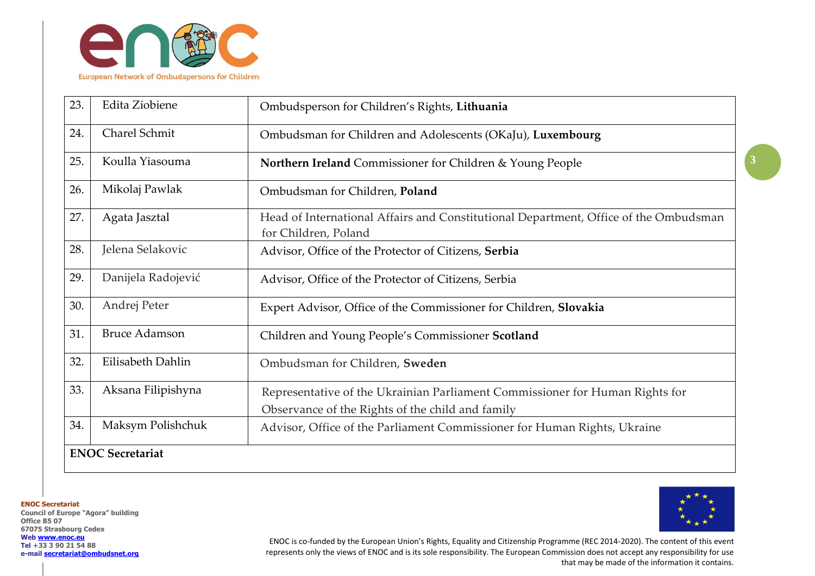

| 23. | Edita Ziobiene          | Ombudsperson for Children's Rights, Lithuania                                                                                    |
|-----|-------------------------|----------------------------------------------------------------------------------------------------------------------------------|
| 24. | Charel Schmit           | Ombudsman for Children and Adolescents (OKaJu), Luxembourg                                                                       |
| 25. | Koulla Yiasouma         | Northern Ireland Commissioner for Children & Young People                                                                        |
| 26. | Mikolaj Pawlak          | Ombudsman for Children, Poland                                                                                                   |
| 27. | Agata Jasztal           | Head of International Affairs and Constitutional Department, Office of the Ombudsman<br>for Children, Poland                     |
| 28. | Jelena Selakovic        | Advisor, Office of the Protector of Citizens, Serbia                                                                             |
| 29. | Danijela Radojević      | Advisor, Office of the Protector of Citizens, Serbia                                                                             |
| 30. | Andrej Peter            | Expert Advisor, Office of the Commissioner for Children, Slovakia                                                                |
| 31. | <b>Bruce Adamson</b>    | Children and Young People's Commissioner Scotland                                                                                |
| 32. | Eilisabeth Dahlin       | Ombudsman for Children, Sweden                                                                                                   |
| 33. | Aksana Filipishyna      | Representative of the Ukrainian Parliament Commissioner for Human Rights for<br>Observance of the Rights of the child and family |
| 34. | Maksym Polishchuk       | Advisor, Office of the Parliament Commissioner for Human Rights, Ukraine                                                         |
|     | <b>ENOC Secretariat</b> |                                                                                                                                  |

**Council of Europe "Agora" building Office B5 07 67075 Strasbourg Cedex Web [www.enoc.eu](http://www.enoc.eu/) Tel +33 3 90 21 54 88 e-mail [secretariat@ombudsnet.org](mailto:secretariat@ombudsnet.org)**

**ENOC Secretariat**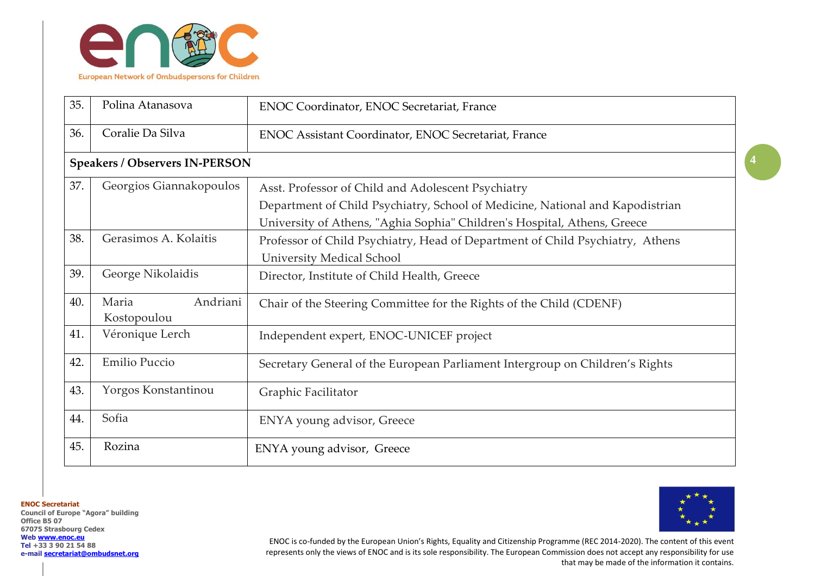

| 35. | Polina Atanasova                      | <b>ENOC Coordinator, ENOC Secretariat, France</b>                             |
|-----|---------------------------------------|-------------------------------------------------------------------------------|
| 36. | Coralie Da Silva                      | <b>ENOC Assistant Coordinator, ENOC Secretariat, France</b>                   |
|     | <b>Speakers / Observers IN-PERSON</b> |                                                                               |
| 37. | Georgios Giannakopoulos               | Asst. Professor of Child and Adolescent Psychiatry                            |
|     |                                       | Department of Child Psychiatry, School of Medicine, National and Kapodistrian |
|     |                                       | University of Athens, "Aghia Sophia" Children's Hospital, Athens, Greece      |
| 38. | Gerasimos A. Kolaitis                 | Professor of Child Psychiatry, Head of Department of Child Psychiatry, Athens |
|     |                                       | <b>University Medical School</b>                                              |
| 39. | George Nikolaidis                     | Director, Institute of Child Health, Greece                                   |
| 40. | Andriani<br>Maria<br>Kostopoulou      | Chair of the Steering Committee for the Rights of the Child (CDENF)           |
| 41. | Véronique Lerch                       | Independent expert, ENOC-UNICEF project                                       |
| 42. | Emilio Puccio                         | Secretary General of the European Parliament Intergroup on Children's Rights  |
| 43. | Yorgos Konstantinou                   | Graphic Facilitator                                                           |
| 44. | Sofia                                 | ENYA young advisor, Greece                                                    |
| 45. | Rozina                                | ENYA young advisor, Greece                                                    |

**Council of Europe "Agora" building Office B5 07 67075 Strasbourg Cedex Web [www.enoc.eu](http://www.enoc.eu/) Tel +33 3 90 21 54 88 e-mail [secretariat@ombudsnet.org](mailto:secretariat@ombudsnet.org)**

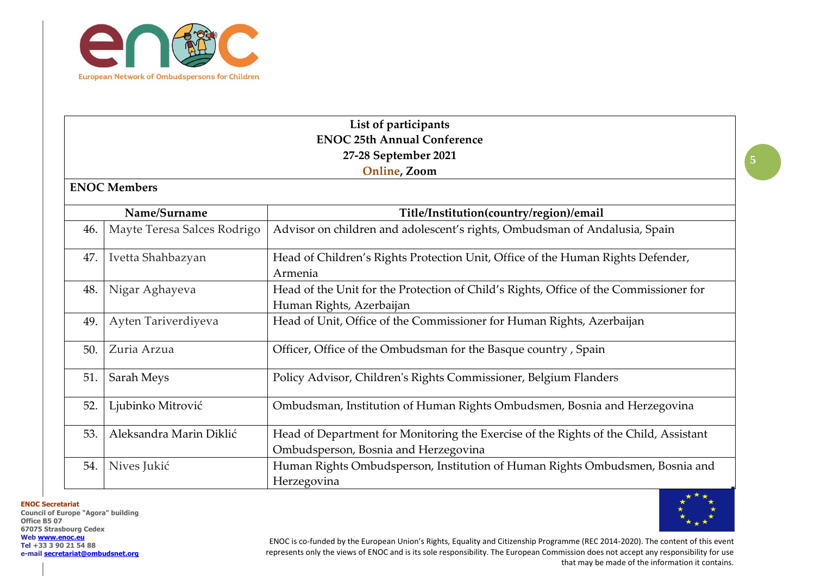

## **List of participants ENOC 25th Annual Conference 27-28 September 2021 Online, Zoom**

## **ENOC Members**

|     | Name/Surname                | Title/Institution(country/region)/email                                                                                      |
|-----|-----------------------------|------------------------------------------------------------------------------------------------------------------------------|
| 46. | Mayte Teresa Salces Rodrigo | Advisor on children and adolescent's rights, Ombudsman of Andalusia, Spain                                                   |
| 47. | Ivetta Shahbazyan           | Head of Children's Rights Protection Unit, Office of the Human Rights Defender,<br>Armenia                                   |
| 48. | Nigar Aghayeva              | Head of the Unit for the Protection of Child's Rights, Office of the Commissioner for<br>Human Rights, Azerbaijan            |
| 49. | Ayten Tariverdiyeva         | Head of Unit, Office of the Commissioner for Human Rights, Azerbaijan                                                        |
| 50. | Zuria Arzua                 | Officer, Office of the Ombudsman for the Basque country, Spain                                                               |
| 51. | Sarah Meys                  | Policy Advisor, Children's Rights Commissioner, Belgium Flanders                                                             |
| 52. | Ljubinko Mitrović           | Ombudsman, Institution of Human Rights Ombudsmen, Bosnia and Herzegovina                                                     |
| 53. | Aleksandra Marin Diklić     | Head of Department for Monitoring the Exercise of the Rights of the Child, Assistant<br>Ombudsperson, Bosnia and Herzegovina |
| 54. | Nives Jukić                 | Human Rights Ombudsperson, Institution of Human Rights Ombudsmen, Bosnia and<br>Herzegovina                                  |

**ENOC Secretariat**

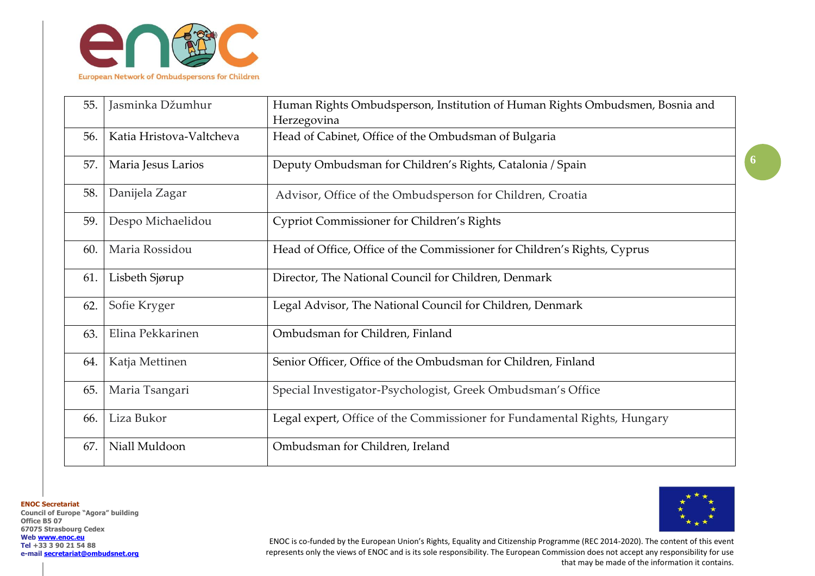

| 55. | Jasminka Džumhur         | Human Rights Ombudsperson, Institution of Human Rights Ombudsmen, Bosnia and |
|-----|--------------------------|------------------------------------------------------------------------------|
|     |                          | Herzegovina                                                                  |
| 56. | Katia Hristova-Valtcheva | Head of Cabinet, Office of the Ombudsman of Bulgaria                         |
| 57. | Maria Jesus Larios       | Deputy Ombudsman for Children's Rights, Catalonia / Spain                    |
| 58. | Danijela Zagar           | Advisor, Office of the Ombudsperson for Children, Croatia                    |
| 59. | Despo Michaelidou        | <b>Cypriot Commissioner for Children's Rights</b>                            |
| 60. | Maria Rossidou           | Head of Office, Office of the Commissioner for Children's Rights, Cyprus     |
| 61. | Lisbeth Sjørup           | Director, The National Council for Children, Denmark                         |
| 62. | Sofie Kryger             | Legal Advisor, The National Council for Children, Denmark                    |
| 63. | Elina Pekkarinen         | Ombudsman for Children, Finland                                              |
| 64. | Katja Mettinen           | Senior Officer, Office of the Ombudsman for Children, Finland                |
| 65. | Maria Tsangari           | Special Investigator-Psychologist, Greek Ombudsman's Office                  |
| 66. | Liza Bukor               | Legal expert, Office of the Commissioner for Fundamental Rights, Hungary     |
| 67. | Niall Muldoon            | Ombudsman for Children, Ireland                                              |

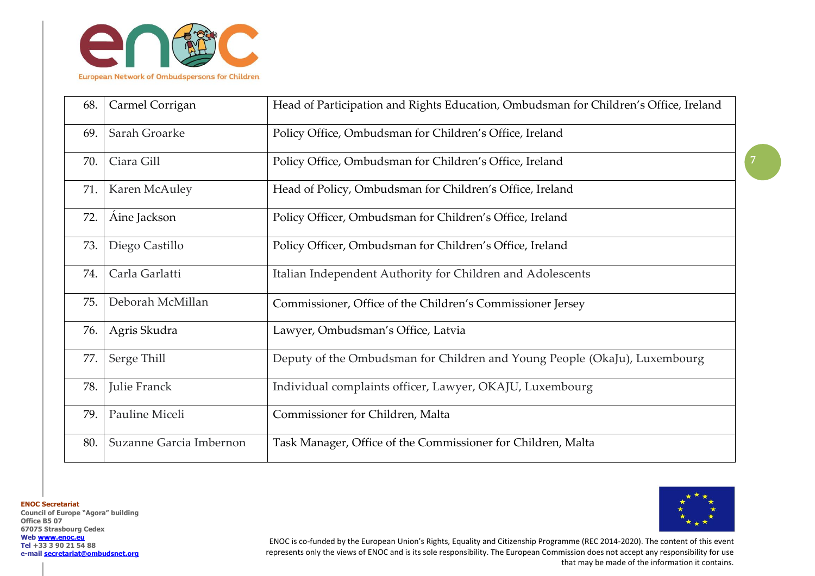

| 68. | Carmel Corrigan         | Head of Participation and Rights Education, Ombudsman for Children's Office, Ireland |
|-----|-------------------------|--------------------------------------------------------------------------------------|
| 69. | Sarah Groarke           | Policy Office, Ombudsman for Children's Office, Ireland                              |
| 70. | Ciara Gill              | Policy Office, Ombudsman for Children's Office, Ireland                              |
| 71. | Karen McAuley           | Head of Policy, Ombudsman for Children's Office, Ireland                             |
| 72. | Aine Jackson            | Policy Officer, Ombudsman for Children's Office, Ireland                             |
| 73. | Diego Castillo          | Policy Officer, Ombudsman for Children's Office, Ireland                             |
| 74. | Carla Garlatti          | Italian Independent Authority for Children and Adolescents                           |
| 75. | Deborah McMillan        | Commissioner, Office of the Children's Commissioner Jersey                           |
| 76. | Agris Skudra            | Lawyer, Ombudsman's Office, Latvia                                                   |
| 77. | Serge Thill             | Deputy of the Ombudsman for Children and Young People (OkaJu), Luxembourg            |
| 78. | Julie Franck            | Individual complaints officer, Lawyer, OKAJU, Luxembourg                             |
| 79. | Pauline Miceli          | Commissioner for Children, Malta                                                     |
| 80. | Suzanne Garcia Imbernon | Task Manager, Office of the Commissioner for Children, Malta                         |

**ENOC Secretariat Council of Europe "Agora" building Office B5 07 67075 Strasbourg Cedex Web [www.enoc.eu](http://www.enoc.eu/) Tel +33 3 90 21 54 88 e-mail [secretariat@ombudsnet.org](mailto:secretariat@ombudsnet.org)**



ENOC is co-funded by the European Union's Rights, Equality and Citizenship Programme (REC 2014-2020). The content of this event represents only the views of ENOC and is its sole responsibility. The European Commission does not accept any responsibility for use that may be made of the information it contains.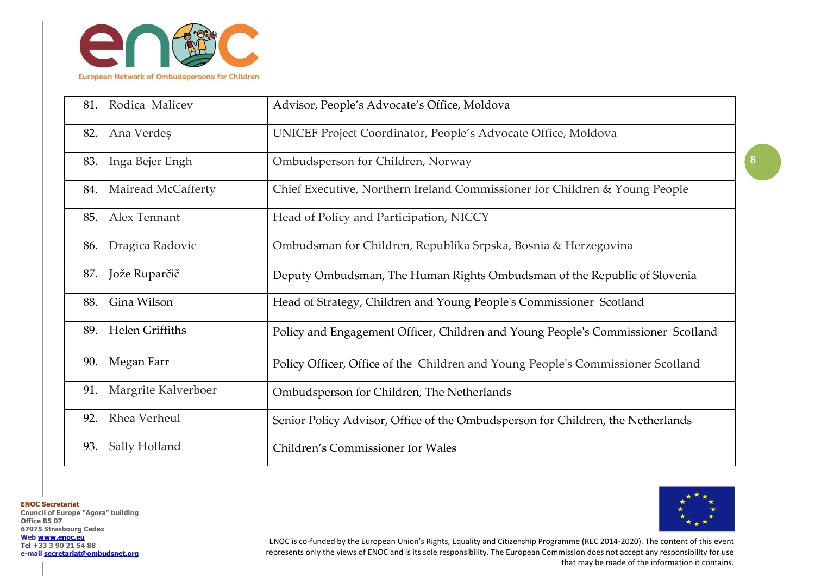

| 81. | Rodica Malicev      | Advisor, People's Advocate's Office, Moldova                                     |
|-----|---------------------|----------------------------------------------------------------------------------|
| 82. | Ana Verdeș          | UNICEF Project Coordinator, People's Advocate Office, Moldova                    |
| 83. | Inga Bejer Engh     | Ombudsperson for Children, Norway                                                |
| 84. | Mairead McCafferty  | Chief Executive, Northern Ireland Commissioner for Children & Young People       |
| 85. | Alex Tennant        | Head of Policy and Participation, NICCY                                          |
| 86. | Dragica Radovic     | Ombudsman for Children, Republika Srpska, Bosnia & Herzegovina                   |
| 87. | Jože Ruparčič       | Deputy Ombudsman, The Human Rights Ombudsman of the Republic of Slovenia         |
| 88. | Gina Wilson         | Head of Strategy, Children and Young People's Commissioner Scotland              |
| 89. | Helen Griffiths     | Policy and Engagement Officer, Children and Young People's Commissioner Scotland |
| 90. | Megan Farr          | Policy Officer, Office of the Children and Young People's Commissioner Scotland  |
| 91. | Margrite Kalverboer | Ombudsperson for Children, The Netherlands                                       |
| 92. | Rhea Verheul        | Senior Policy Advisor, Office of the Ombudsperson for Children, the Netherlands  |
| 93. | Sally Holland       | Children's Commissioner for Wales                                                |

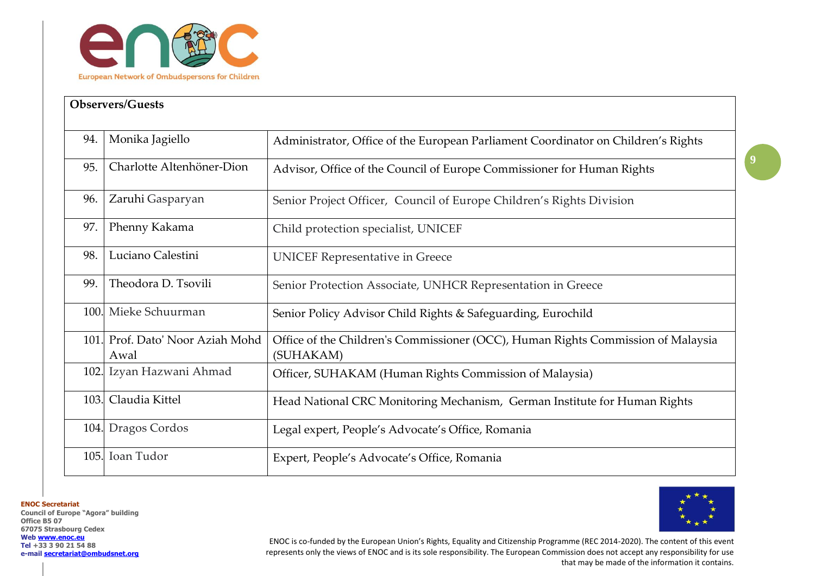

| <b>Observers/Guests</b> |                                     |                                                                                               |
|-------------------------|-------------------------------------|-----------------------------------------------------------------------------------------------|
| 94.                     | Monika Jagiello                     | Administrator, Office of the European Parliament Coordinator on Children's Rights             |
| 95.                     | Charlotte Altenhöner-Dion           | Advisor, Office of the Council of Europe Commissioner for Human Rights                        |
| 96.                     | Zaruhi Gasparyan                    | Senior Project Officer, Council of Europe Children's Rights Division                          |
| 97.                     | Phenny Kakama                       | Child protection specialist, UNICEF                                                           |
| 98.                     | Luciano Calestini                   | <b>UNICEF Representative in Greece</b>                                                        |
| 99.                     | Theodora D. Tsovili                 | Senior Protection Associate, UNHCR Representation in Greece                                   |
| 100.                    | Mieke Schuurman                     | Senior Policy Advisor Child Rights & Safeguarding, Eurochild                                  |
| 101.                    | Prof. Dato' Noor Aziah Mohd<br>Awal | Office of the Children's Commissioner (OCC), Human Rights Commission of Malaysia<br>(SUHAKAM) |
| 102.                    | Izyan Hazwani Ahmad                 | Officer, SUHAKAM (Human Rights Commission of Malaysia)                                        |
| 103.                    | Claudia Kittel                      | Head National CRC Monitoring Mechanism, German Institute for Human Rights                     |
| 104.                    | Dragos Cordos                       | Legal expert, People's Advocate's Office, Romania                                             |
| 105.                    | Ioan Tudor                          | Expert, People's Advocate's Office, Romania                                                   |

**Council of Europe "Agora" building Office B5 07 67075 Strasbourg Cedex Web [www.enoc.eu](http://www.enoc.eu/) Tel +33 3 90 21 54 88 e-mail [secretariat@ombudsnet.org](mailto:secretariat@ombudsnet.org)**



**9**

ENOC is co-funded by the European Union's Rights, Equality and Citizenship Programme (REC 2014-2020). The content of this event represents only the views of ENOC and is its sole responsibility. The European Commission does not accept any responsibility for use that may be made of the information it contains.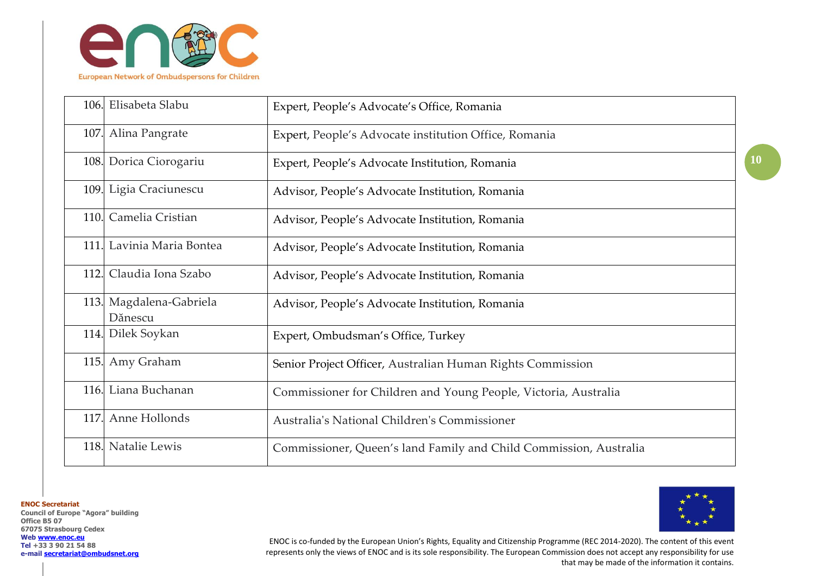

| 106. | Elisabeta Slabu                    | Expert, People's Advocate's Office, Romania                       |
|------|------------------------------------|-------------------------------------------------------------------|
|      | 107. Alina Pangrate                | Expert, People's Advocate institution Office, Romania             |
|      | 108. Dorica Ciorogariu             | Expert, People's Advocate Institution, Romania                    |
|      | 109. Ligia Craciunescu             | Advisor, People's Advocate Institution, Romania                   |
|      | 110. Camelia Cristian              | Advisor, People's Advocate Institution, Romania                   |
|      | 111. Lavinia Maria Bontea          | Advisor, People's Advocate Institution, Romania                   |
|      | 112. Claudia Iona Szabo            | Advisor, People's Advocate Institution, Romania                   |
|      | 113. Magdalena-Gabriela<br>Dănescu | Advisor, People's Advocate Institution, Romania                   |
|      | 114. Dilek Soykan                  | Expert, Ombudsman's Office, Turkey                                |
|      | 115. Amy Graham                    | Senior Project Officer, Australian Human Rights Commission        |
|      | 116. Liana Buchanan                | Commissioner for Children and Young People, Victoria, Australia   |
|      | 117. Anne Hollonds                 | Australia's National Children's Commissioner                      |
|      | 118. Natalie Lewis                 | Commissioner, Queen's land Family and Child Commission, Australia |

**Council of Europe "Agora" building Office B5 07 67075 Strasbourg Cedex Web [www.enoc.eu](http://www.enoc.eu/) Tel +33 3 90 21 54 88 e-mail [secretariat@ombudsnet.org](mailto:secretariat@ombudsnet.org)**

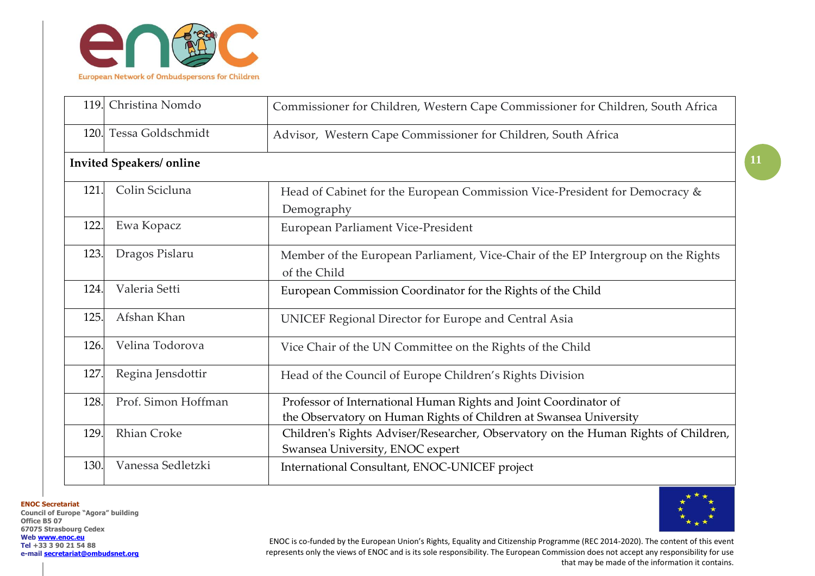

| 119. | Christina Nomdo                 | Commissioner for Children, Western Cape Commissioner for Children, South Africa                                                       |
|------|---------------------------------|---------------------------------------------------------------------------------------------------------------------------------------|
| 120. | Tessa Goldschmidt               | Advisor, Western Cape Commissioner for Children, South Africa                                                                         |
|      | <b>Invited Speakers/ online</b> |                                                                                                                                       |
| 121. | Colin Scicluna                  | Head of Cabinet for the European Commission Vice-President for Democracy &<br>Demography                                              |
| 122. | Ewa Kopacz                      | European Parliament Vice-President                                                                                                    |
| 123. | Dragos Pislaru                  | Member of the European Parliament, Vice-Chair of the EP Intergroup on the Rights<br>of the Child                                      |
| 124. | Valeria Setti                   | European Commission Coordinator for the Rights of the Child                                                                           |
| 125. | Afshan Khan                     | UNICEF Regional Director for Europe and Central Asia                                                                                  |
| 126. | Velina Todorova                 | Vice Chair of the UN Committee on the Rights of the Child                                                                             |
| 127. | Regina Jensdottir               | Head of the Council of Europe Children's Rights Division                                                                              |
| 128. | Prof. Simon Hoffman             | Professor of International Human Rights and Joint Coordinator of<br>the Observatory on Human Rights of Children at Swansea University |
| 129. | <b>Rhian Croke</b>              | Children's Rights Adviser/Researcher, Observatory on the Human Rights of Children,<br>Swansea University, ENOC expert                 |
| 130. | Vanessa Sedletzki               | International Consultant, ENOC-UNICEF project                                                                                         |

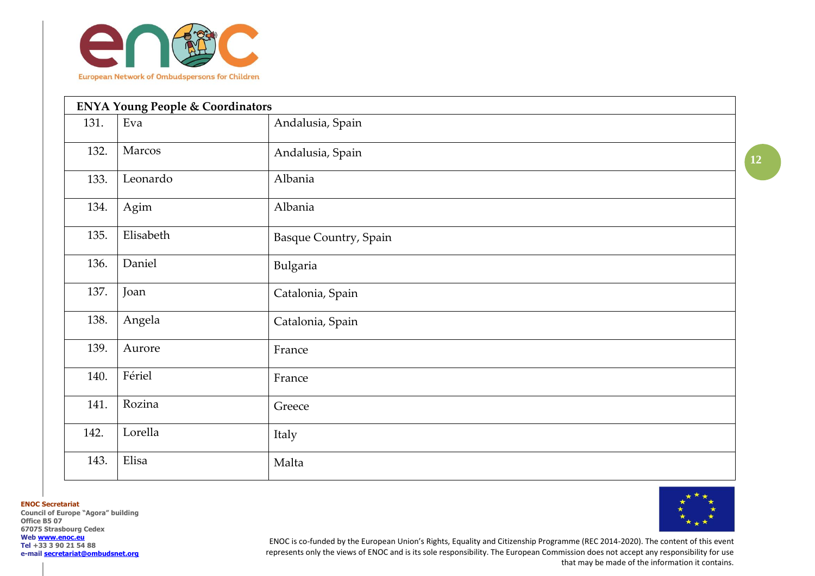

|      | <b>ENYA Young People &amp; Coordinators</b> |                              |  |
|------|---------------------------------------------|------------------------------|--|
| 131. | Eva                                         | Andalusia, Spain             |  |
| 132. | Marcos                                      | Andalusia, Spain             |  |
| 133. | Leonardo                                    | Albania                      |  |
| 134. | Agim                                        | Albania                      |  |
| 135. | Elisabeth                                   | <b>Basque Country, Spain</b> |  |
| 136. | Daniel                                      | Bulgaria                     |  |
| 137. | Joan                                        | Catalonia, Spain             |  |
| 138. | Angela                                      | Catalonia, Spain             |  |
| 139. | Aurore                                      | France                       |  |
| 140. | Fériel                                      | France                       |  |
| 141. | Rozina                                      | Greece                       |  |
| 142. | Lorella                                     | Italy                        |  |
| 143. | Elisa                                       | Malta                        |  |

**Council of Europe "Agora" building Office B5 07 67075 Strasbourg Cedex Web [www.enoc.eu](http://www.enoc.eu/) Tel +33 3 90 21 54 88 e-mail [secretariat@ombudsnet.org](mailto:secretariat@ombudsnet.org)**



ENOC is co-funded by the European Union's Rights, Equality and Citizenship Programme (REC 2014-2020). The content of this event represents only the views of ENOC and is its sole responsibility. The European Commission does not accept any responsibility for use that may be made of the information it contains.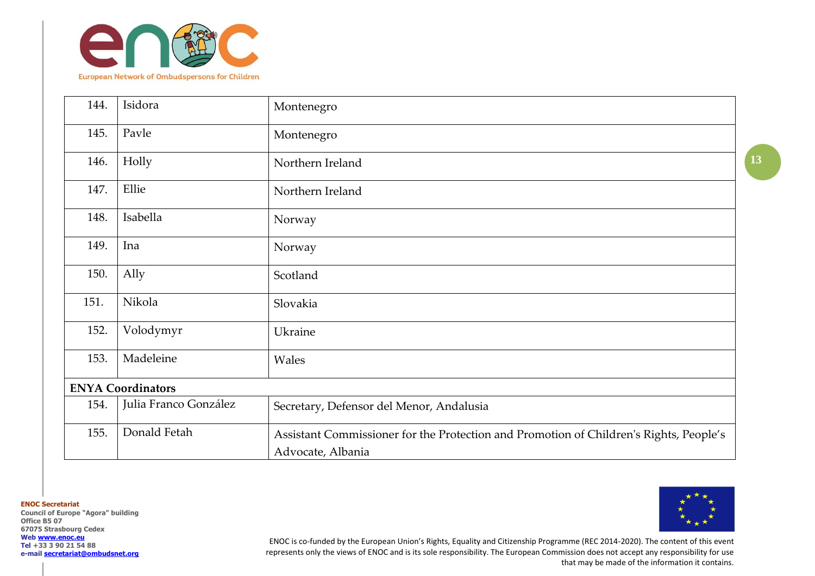

| 144.                     | Isidora               | Montenegro                                                                                                  |  |
|--------------------------|-----------------------|-------------------------------------------------------------------------------------------------------------|--|
| 145.                     | Pavle                 | Montenegro                                                                                                  |  |
| 146.                     | Holly                 | Northern Ireland                                                                                            |  |
| 147.                     | Ellie                 | Northern Ireland                                                                                            |  |
| 148.                     | Isabella              | Norway                                                                                                      |  |
| 149.                     | Ina                   | Norway                                                                                                      |  |
| 150.                     | Ally                  | Scotland                                                                                                    |  |
| 151.                     | Nikola                | Slovakia                                                                                                    |  |
| 152.                     | Volodymyr             | Ukraine                                                                                                     |  |
| 153.                     | Madeleine             | Wales                                                                                                       |  |
| <b>ENYA Coordinators</b> |                       |                                                                                                             |  |
| 154.                     | Julia Franco González | Secretary, Defensor del Menor, Andalusia                                                                    |  |
| 155.                     | Donald Fetah          | Assistant Commissioner for the Protection and Promotion of Children's Rights, People's<br>Advocate, Albania |  |

**Council of Europe "Agora" building Office B5 07 67075 Strasbourg Cedex Web [www.enoc.eu](http://www.enoc.eu/) Tel +33 3 90 21 54 88 e-mail [secretariat@ombudsnet.org](mailto:secretariat@ombudsnet.org)**



ENOC is co-funded by the European Union's Rights, Equality and Citizenship Programme (REC 2014-2020). The content of this event represents only the views of ENOC and is its sole responsibility. The European Commission does not accept any responsibility for use that may be made of the information it contains.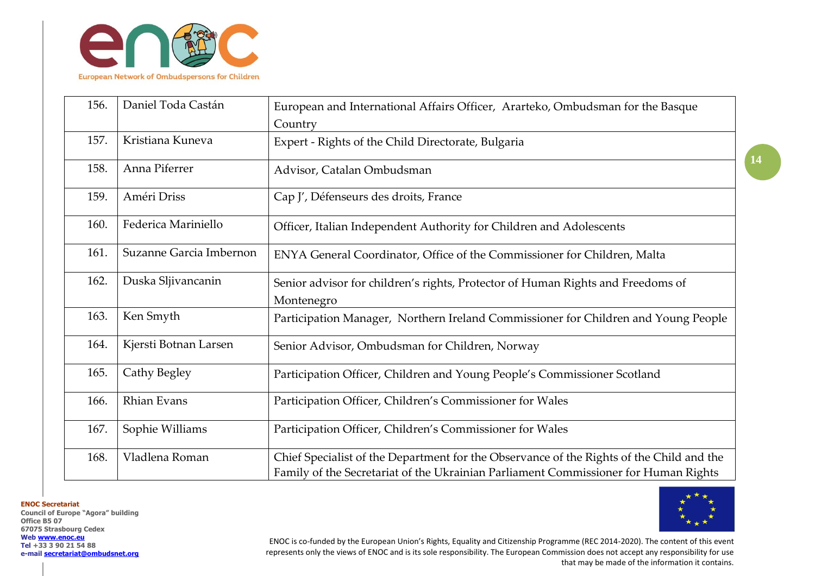

| 156. | Daniel Toda Castán      | European and International Affairs Officer, Ararteko, Ombudsman for the Basque                                                                                                  |
|------|-------------------------|---------------------------------------------------------------------------------------------------------------------------------------------------------------------------------|
|      |                         | Country                                                                                                                                                                         |
| 157. | Kristiana Kuneva        | Expert - Rights of the Child Directorate, Bulgaria                                                                                                                              |
| 158. | Anna Piferrer           | Advisor, Catalan Ombudsman                                                                                                                                                      |
| 159. | Améri Driss             | Cap J', Défenseurs des droits, France                                                                                                                                           |
| 160. | Federica Mariniello     | Officer, Italian Independent Authority for Children and Adolescents                                                                                                             |
| 161. | Suzanne Garcia Imbernon | ENYA General Coordinator, Office of the Commissioner for Children, Malta                                                                                                        |
| 162. | Duska Sljivancanin      | Senior advisor for children's rights, Protector of Human Rights and Freedoms of<br>Montenegro                                                                                   |
| 163. | Ken Smyth               | Participation Manager, Northern Ireland Commissioner for Children and Young People                                                                                              |
| 164. | Kjersti Botnan Larsen   | Senior Advisor, Ombudsman for Children, Norway                                                                                                                                  |
| 165. | Cathy Begley            | Participation Officer, Children and Young People's Commissioner Scotland                                                                                                        |
| 166. | <b>Rhian Evans</b>      | Participation Officer, Children's Commissioner for Wales                                                                                                                        |
| 167. | Sophie Williams         | Participation Officer, Children's Commissioner for Wales                                                                                                                        |
| 168. | Vladlena Roman          | Chief Specialist of the Department for the Observance of the Rights of the Child and the<br>Family of the Secretariat of the Ukrainian Parliament Commissioner for Human Rights |